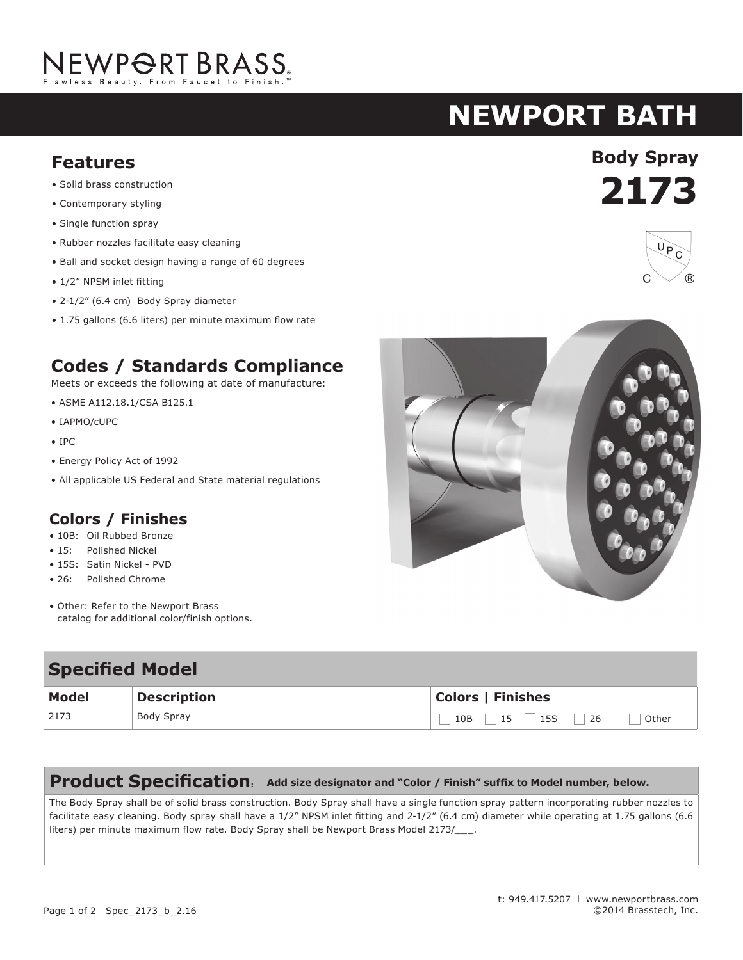# NEWPORT BRASS.

## **newport bath**

- Solid brass construction
- Contemporary styling
- Single function spray
- Rubber nozzles facilitate easy cleaning
- Ball and socket design having a range of 60 degrees
- 1/2" NPSM inlet fitting
- 2-1/2" (6.4 cm) Body Spray diameter
- 1.75 gallons (6.6 liters) per minute maximum flow rate

### **Codes / Standards Compliance**

Meets or exceeds the following at date of manufacture:

- ASME A112.18.1/CSA B125.1
- IAPMO/cUPC
- IPC
- Energy Policy Act of 1992
- All applicable US Federal and State material regulations

#### **Colors / Finishes**

- 10B: Oil Rubbed Bronze
- 15: Polished Nickel
- 15S: Satin Nickel PVD
- 26: Polished Chrome
- Other: Refer to the Newport Brass catalog for additional color/finish options.

#### **Specified Model Model Description Colors | Finishes** 2173 Body Spray  $\Box$  10B  $\Box$  15  $\Box$  15S  $\Box$  26  $\Box$  Other

#### **Product Specification: Add size designator and "Color / Finish" suffix to Model number, below.**

The Body Spray shall be of solid brass construction. Body Spray shall have a single function spray pattern incorporating rubber nozzles to facilitate easy cleaning. Body spray shall have a 1/2" NPSM inlet fitting and 2-1/2" (6.4 cm) diameter while operating at 1.75 gallons (6.6 liters) per minute maximum flow rate. Body Spray shall be Newport Brass Model 2173/